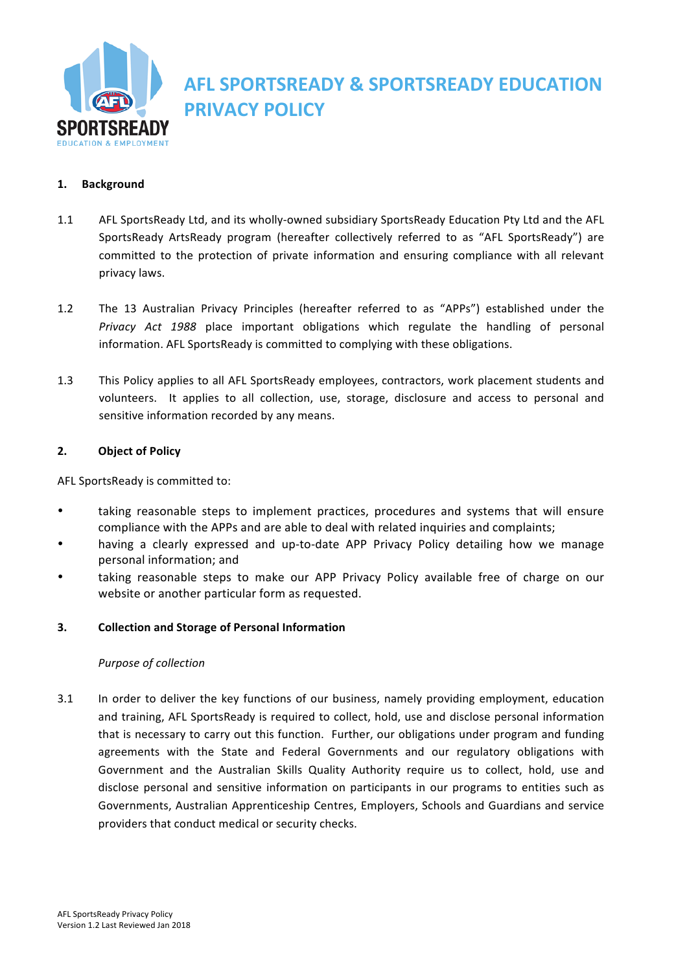

# **AFL SPORTSREADY & SPORTSREADY EDUCATION PRIVACY POLICY**

# **1. Background**

- 1.1 AFL SportsReady Ltd, and its wholly-owned subsidiary SportsReady Education Pty Ltd and the AFL SportsReady ArtsReady program (hereafter collectively referred to as "AFL SportsReady") are committed to the protection of private information and ensuring compliance with all relevant privacy laws.
- 1.2 The 13 Australian Privacy Principles (hereafter referred to as "APPs") established under the Privacy Act 1988 place important obligations which regulate the handling of personal information. AFL SportsReady is committed to complying with these obligations.
- 1.3 This Policy applies to all AFL SportsReady employees, contractors, work placement students and volunteers. It applies to all collection, use, storage, disclosure and access to personal and sensitive information recorded by any means.

## **2. Object of Policy**

AFL SportsReady is committed to:

- taking reasonable steps to implement practices, procedures and systems that will ensure compliance with the APPs and are able to deal with related inquiries and complaints;
- having a clearly expressed and up-to-date APP Privacy Policy detailing how we manage personal information; and
- taking reasonable steps to make our APP Privacy Policy available free of charge on our website or another particular form as requested.

## **3. Collection and Storage of Personal Information**

## *Purpose of collection*

3.1 In order to deliver the key functions of our business, namely providing employment, education and training, AFL SportsReady is required to collect, hold, use and disclose personal information that is necessary to carry out this function. Further, our obligations under program and funding agreements with the State and Federal Governments and our regulatory obligations with Government and the Australian Skills Quality Authority require us to collect, hold, use and disclose personal and sensitive information on participants in our programs to entities such as Governments, Australian Apprenticeship Centres, Employers, Schools and Guardians and service providers that conduct medical or security checks.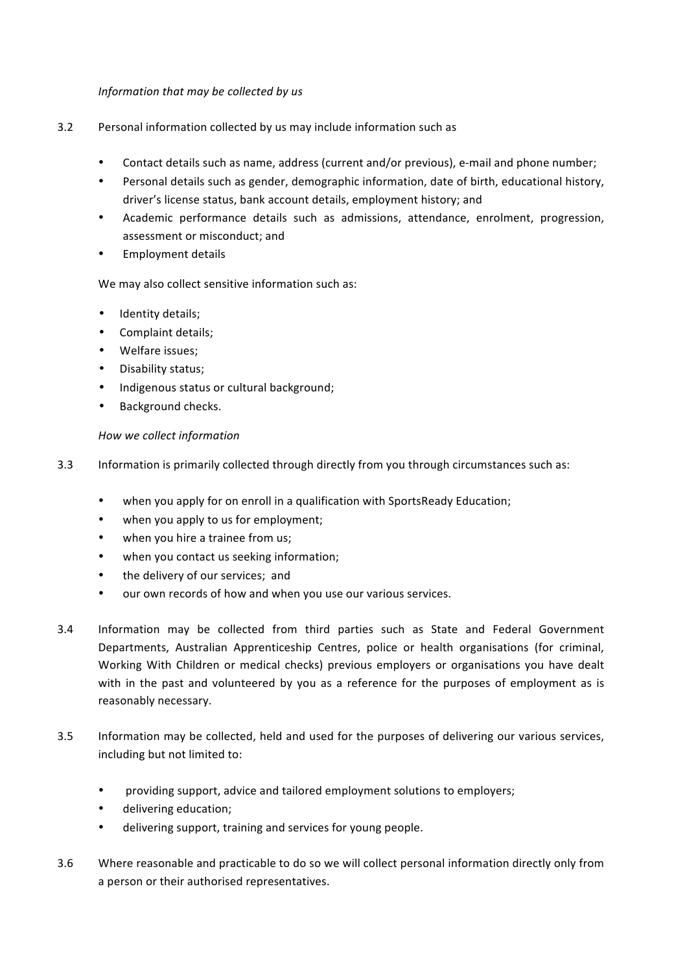## *Information that may be collected by us*

- 3.2 Personal information collected by us may include information such as
	- Contact details such as name, address (current and/or previous), e-mail and phone number;
	- Personal details such as gender, demographic information, date of birth, educational history, driver's license status, bank account details, employment history; and
	- Academic performance details such as admissions, attendance, enrolment, progression, assessment or misconduct; and
	- Employment details

# We may also collect sensitive information such as:

- Identity details;
- Complaint details;
- Welfare issues;
- Disability status;
- Indigenous status or cultural background;
- Background checks.

## *How we collect information*

- 3.3 Information is primarily collected through directly from you through circumstances such as:
	- when you apply for on enroll in a qualification with SportsReady Education;
	- when you apply to us for employment;
	- when you hire a trainee from us:
	- when you contact us seeking information;
	- the delivery of our services; and
	- our own records of how and when you use our various services.
- 3.4 Information may be collected from third parties such as State and Federal Government Departments, Australian Apprenticeship Centres, police or health organisations (for criminal, Working With Children or medical checks) previous employers or organisations you have dealt with in the past and volunteered by you as a reference for the purposes of employment as is reasonably necessary.
- 3.5 Information may be collected, held and used for the purposes of delivering our various services, including but not limited to:
	- providing support, advice and tailored employment solutions to employers;
	- delivering education;
	- delivering support, training and services for young people.
- 3.6 Where reasonable and practicable to do so we will collect personal information directly only from a person or their authorised representatives.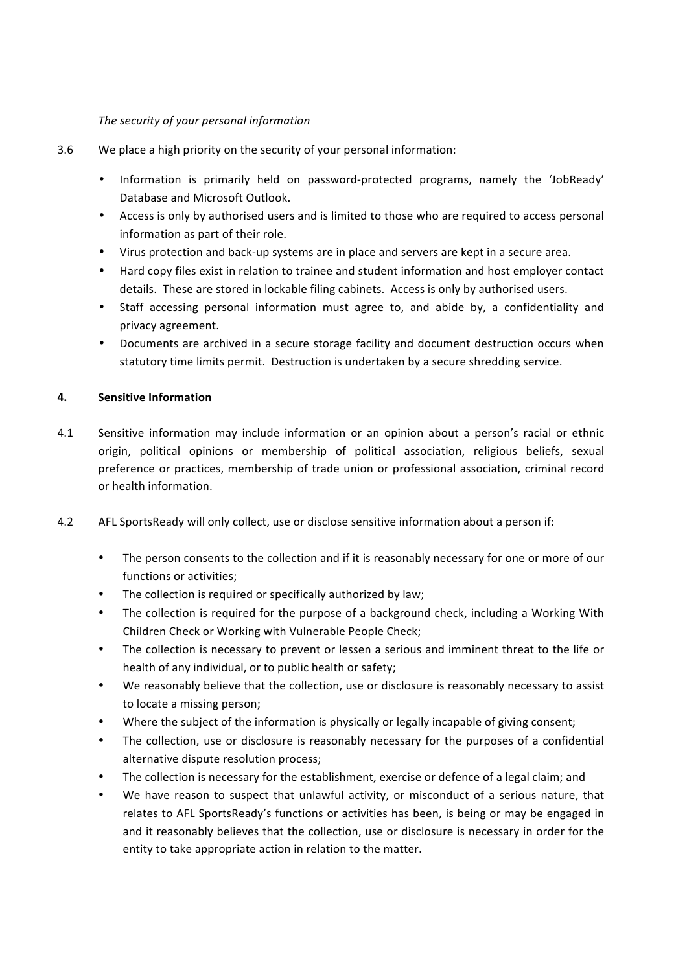# *The security of your personal information*

- 3.6 We place a high priority on the security of your personal information:
	- Information is primarily held on password-protected programs, namely the 'JobReady' Database and Microsoft Outlook.
	- Access is only by authorised users and is limited to those who are required to access personal information as part of their role.
	- Virus protection and back-up systems are in place and servers are kept in a secure area.
	- Hard copy files exist in relation to trainee and student information and host employer contact details. These are stored in lockable filing cabinets. Access is only by authorised users.
	- Staff accessing personal information must agree to, and abide by, a confidentiality and privacy agreement.
	- Documents are archived in a secure storage facility and document destruction occurs when statutory time limits permit. Destruction is undertaken by a secure shredding service.

# **4.** Sensitive Information

- 4.1 Sensitive information may include information or an opinion about a person's racial or ethnic origin, political opinions or membership of political association, religious beliefs, sexual preference or practices, membership of trade union or professional association, criminal record or health information.
- 4.2 AFL SportsReady will only collect, use or disclose sensitive information about a person if:
	- The person consents to the collection and if it is reasonably necessary for one or more of our functions or activities:
	- The collection is required or specifically authorized by law;
	- The collection is required for the purpose of a background check, including a Working With Children Check or Working with Vulnerable People Check;
	- The collection is necessary to prevent or lessen a serious and imminent threat to the life or health of any individual, or to public health or safety;
	- We reasonably believe that the collection, use or disclosure is reasonably necessary to assist to locate a missing person;
	- Where the subject of the information is physically or legally incapable of giving consent;
	- The collection, use or disclosure is reasonably necessary for the purposes of a confidential alternative dispute resolution process;
	- The collection is necessary for the establishment, exercise or defence of a legal claim; and
	- We have reason to suspect that unlawful activity, or misconduct of a serious nature, that relates to AFL SportsReady's functions or activities has been, is being or may be engaged in and it reasonably believes that the collection, use or disclosure is necessary in order for the entity to take appropriate action in relation to the matter.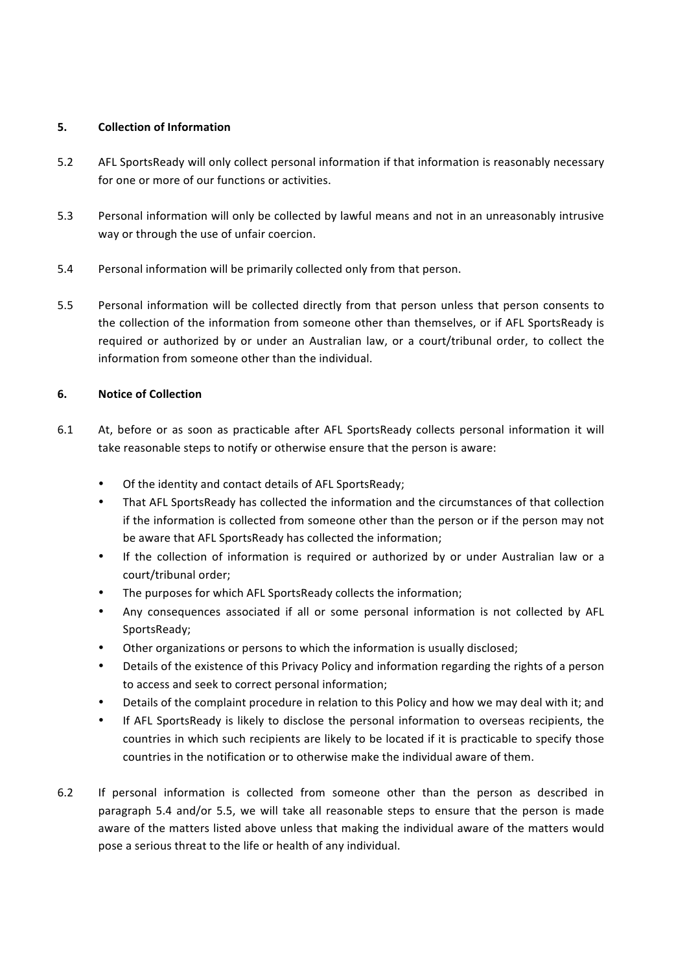# **5. Collection of Information**

- 5.2 AFL SportsReady will only collect personal information if that information is reasonably necessary for one or more of our functions or activities.
- 5.3 Personal information will only be collected by lawful means and not in an unreasonably intrusive way or through the use of unfair coercion.
- 5.4 Personal information will be primarily collected only from that person.
- 5.5 Personal information will be collected directly from that person unless that person consents to the collection of the information from someone other than themselves, or if AFL SportsReady is required or authorized by or under an Australian law, or a court/tribunal order, to collect the information from someone other than the individual.

# **6. Notice of Collection**

- 6.1 At, before or as soon as practicable after AFL SportsReady collects personal information it will take reasonable steps to notify or otherwise ensure that the person is aware:
	- Of the identity and contact details of AFL SportsReady;
	- That AFL SportsReady has collected the information and the circumstances of that collection if the information is collected from someone other than the person or if the person may not be aware that AFL SportsReady has collected the information:
	- If the collection of information is required or authorized by or under Australian law or a court/tribunal order;
	- The purposes for which AFL SportsReady collects the information;
	- Any consequences associated if all or some personal information is not collected by AFL SportsReady;
	- Other organizations or persons to which the information is usually disclosed;
	- Details of the existence of this Privacy Policy and information regarding the rights of a person to access and seek to correct personal information;
	- Details of the complaint procedure in relation to this Policy and how we may deal with it; and
	- If AFL SportsReady is likely to disclose the personal information to overseas recipients, the countries in which such recipients are likely to be located if it is practicable to specify those countries in the notification or to otherwise make the individual aware of them.
- 6.2 If personal information is collected from someone other than the person as described in paragraph 5.4 and/or 5.5, we will take all reasonable steps to ensure that the person is made aware of the matters listed above unless that making the individual aware of the matters would pose a serious threat to the life or health of any individual.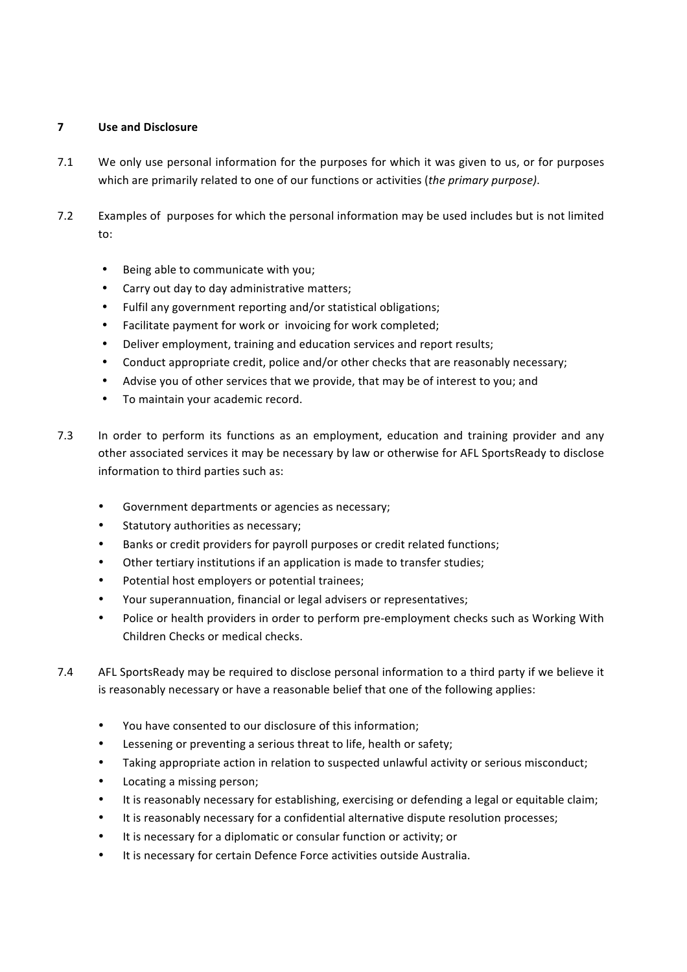# **7 Use and Disclosure**

- 7.1 We only use personal information for the purposes for which it was given to us, or for purposes which are primarily related to one of our functions or activities (the primary purpose).
- 7.2 Examples of purposes for which the personal information may be used includes but is not limited to:
	- Being able to communicate with you;
	- Carry out day to day administrative matters;
	- Fulfil any government reporting and/or statistical obligations;
	- Facilitate payment for work or invoicing for work completed;
	- Deliver employment, training and education services and report results;
	- Conduct appropriate credit, police and/or other checks that are reasonably necessary;
	- Advise you of other services that we provide, that may be of interest to you; and
	- To maintain your academic record.
- 7.3 In order to perform its functions as an employment, education and training provider and any other associated services it may be necessary by law or otherwise for AFL SportsReady to disclose information to third parties such as:
	- Government departments or agencies as necessary;
	- Statutory authorities as necessary;
	- Banks or credit providers for payroll purposes or credit related functions;
	- Other tertiary institutions if an application is made to transfer studies;
	- Potential host employers or potential trainees;
	- Your superannuation, financial or legal advisers or representatives;
	- Police or health providers in order to perform pre-employment checks such as Working With Children Checks or medical checks.
- 7.4 AFL SportsReady may be required to disclose personal information to a third party if we believe it is reasonably necessary or have a reasonable belief that one of the following applies:
	- You have consented to our disclosure of this information:
	- Lessening or preventing a serious threat to life, health or safety;
	- Taking appropriate action in relation to suspected unlawful activity or serious misconduct;
	- Locating a missing person;
	- It is reasonably necessary for establishing, exercising or defending a legal or equitable claim;
	- It is reasonably necessary for a confidential alternative dispute resolution processes;
	- It is necessary for a diplomatic or consular function or activity; or
	- It is necessary for certain Defence Force activities outside Australia.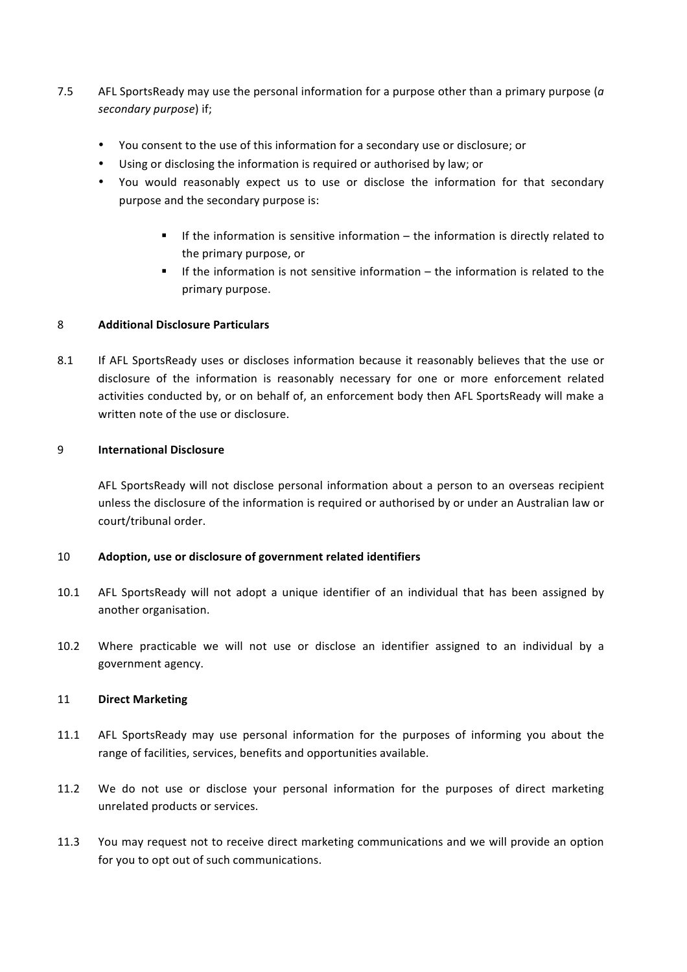- 7.5 AFL SportsReady may use the personal information for a purpose other than a primary purpose (*a* secondary purpose) if;
	- You consent to the use of this information for a secondary use or disclosure; or
	- Using or disclosing the information is required or authorised by law; or
	- You would reasonably expect us to use or disclose the information for that secondary purpose and the secondary purpose is:
		- **■** If the information is sensitive information the information is directly related to the primary purpose, or
		- **■** If the information is not sensitive information  $-$  the information is related to the primary purpose.

#### 8 **Additional Disclosure Particulars**

8.1 If AFL SportsReady uses or discloses information because it reasonably believes that the use or disclosure of the information is reasonably necessary for one or more enforcement related activities conducted by, or on behalf of, an enforcement body then AFL SportsReady will make a written note of the use or disclosure.

#### 9 **International Disclosure**

AFL SportsReady will not disclose personal information about a person to an overseas recipient unless the disclosure of the information is required or authorised by or under an Australian law or court/tribunal order.

## 10 Adoption, use or disclosure of government related identifiers

- 10.1 AFL SportsReady will not adopt a unique identifier of an individual that has been assigned by another organisation.
- 10.2 Where practicable we will not use or disclose an identifier assigned to an individual by a government agency.

## 11 **Direct Marketing**

- 11.1 AFL SportsReady may use personal information for the purposes of informing you about the range of facilities, services, benefits and opportunities available.
- 11.2 We do not use or disclose your personal information for the purposes of direct marketing unrelated products or services.
- 11.3 You may request not to receive direct marketing communications and we will provide an option for you to opt out of such communications.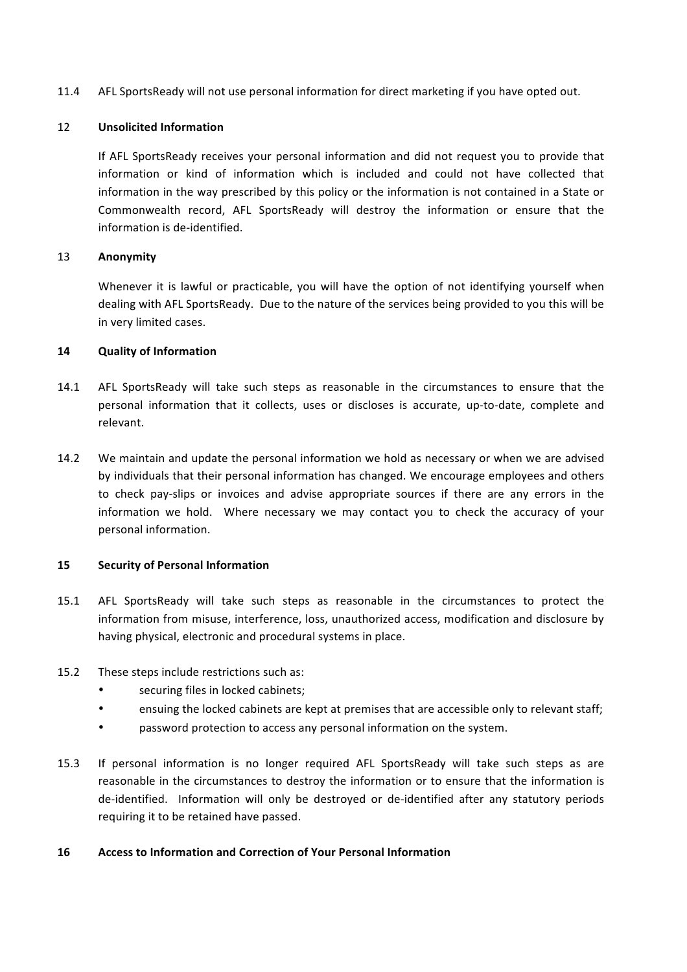11.4 AFL SportsReady will not use personal information for direct marketing if you have opted out.

#### 12 **Unsolicited Information**

If AFL SportsReady receives your personal information and did not request you to provide that information or kind of information which is included and could not have collected that information in the way prescribed by this policy or the information is not contained in a State or Commonwealth record, AFL SportsReady will destroy the information or ensure that the information is de-identified.

#### 13 **Anonymity**

Whenever it is lawful or practicable, you will have the option of not identifying yourself when dealing with AFL SportsReady. Due to the nature of the services being provided to you this will be in very limited cases.

#### **14 Quality of Information**

- 14.1 AFL SportsReady will take such steps as reasonable in the circumstances to ensure that the personal information that it collects, uses or discloses is accurate, up-to-date, complete and relevant.
- 14.2 We maintain and update the personal information we hold as necessary or when we are advised by individuals that their personal information has changed. We encourage employees and others to check pay-slips or invoices and advise appropriate sources if there are any errors in the information we hold. Where necessary we may contact you to check the accuracy of your personal information.

## **15 Security of Personal Information**

- 15.1 AFL SportsReady will take such steps as reasonable in the circumstances to protect the information from misuse, interference, loss, unauthorized access, modification and disclosure by having physical, electronic and procedural systems in place.
- 15.2 These steps include restrictions such as:
	- securing files in locked cabinets:
	- ensuing the locked cabinets are kept at premises that are accessible only to relevant staff;
	- password protection to access any personal information on the system.
- 15.3 If personal information is no longer required AFL SportsReady will take such steps as are reasonable in the circumstances to destroy the information or to ensure that the information is de-identified. Information will only be destroyed or de-identified after any statutory periods requiring it to be retained have passed.

#### **16 Access to Information and Correction of Your Personal Information**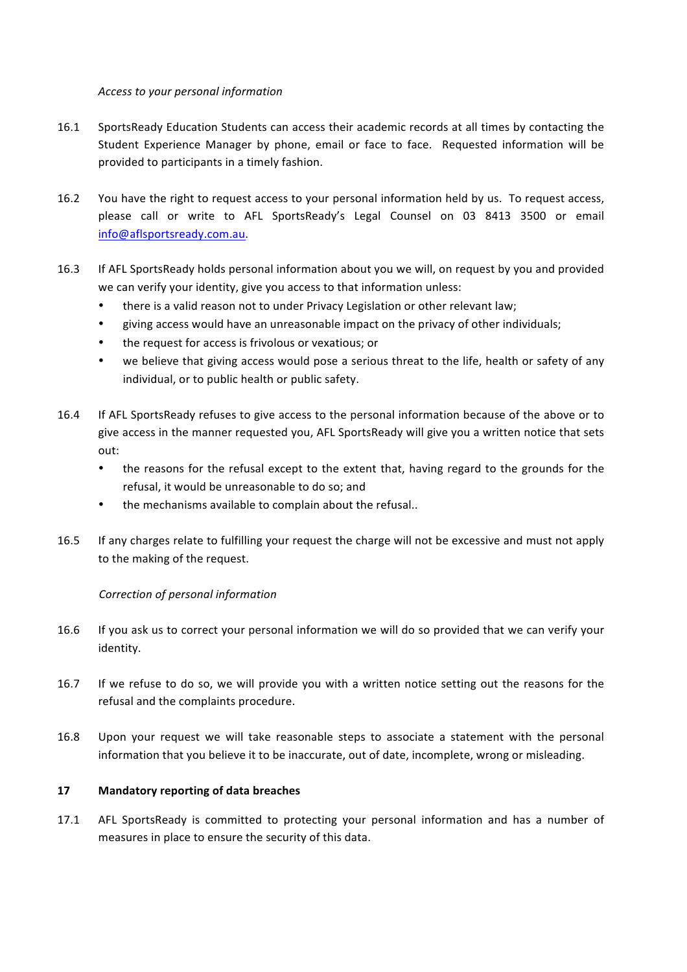*Access to your personal information*

- 16.1 SportsReady Education Students can access their academic records at all times by contacting the Student Experience Manager by phone, email or face to face. Requested information will be provided to participants in a timely fashion.
- 16.2 You have the right to request access to your personal information held by us. To request access, please call or write to AFL SportsReady's Legal Counsel on 03 8413 3500 or email info@aflsportsready.com.au.
- 16.3 If AFL SportsReady holds personal information about you we will, on request by you and provided we can verify your identity, give you access to that information unless:
	- there is a valid reason not to under Privacy Legislation or other relevant law;
	- eiving access would have an unreasonable impact on the privacy of other individuals;
	- the request for access is frivolous or vexatious; or
	- we believe that giving access would pose a serious threat to the life, health or safety of any individual, or to public health or public safety.
- 16.4 If AFL SportsReady refuses to give access to the personal information because of the above or to give access in the manner requested you, AFL SportsReady will give you a written notice that sets out:
	- the reasons for the refusal except to the extent that, having regard to the grounds for the refusal, it would be unreasonable to do so; and
	- the mechanisms available to complain about the refusal..
- 16.5 If any charges relate to fulfilling your request the charge will not be excessive and must not apply to the making of the request.

## *Correction of personal information*

- 16.6 If you ask us to correct your personal information we will do so provided that we can verify your identity.
- 16.7 If we refuse to do so, we will provide you with a written notice setting out the reasons for the refusal and the complaints procedure.
- 16.8 Upon your request we will take reasonable steps to associate a statement with the personal information that you believe it to be inaccurate, out of date, incomplete, wrong or misleading.

## 17 **Mandatory reporting of data breaches**

17.1 AFL SportsReady is committed to protecting your personal information and has a number of measures in place to ensure the security of this data.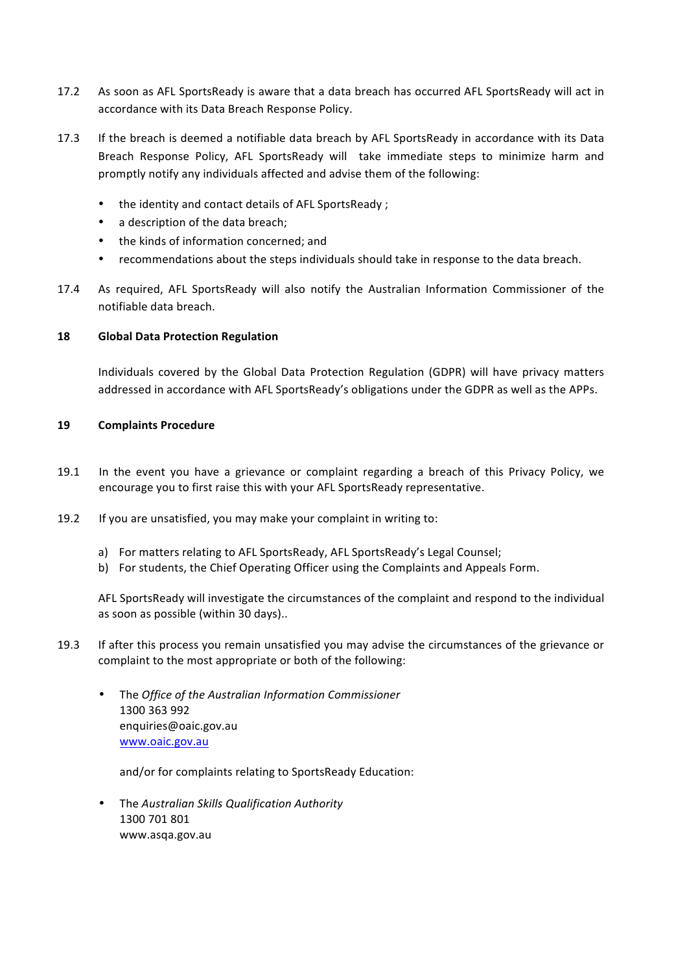- 17.2 As soon as AFL SportsReady is aware that a data breach has occurred AFL SportsReady will act in accordance with its Data Breach Response Policy.
- 17.3 If the breach is deemed a notifiable data breach by AFL SportsReady in accordance with its Data Breach Response Policy, AFL SportsReady will take immediate steps to minimize harm and promptly notify any individuals affected and advise them of the following:
	- the identity and contact details of AFL SportsReady ;
	- a description of the data breach;
	- the kinds of information concerned; and
	- recommendations about the steps individuals should take in response to the data breach.
- 17.4 As required, AFL SportsReady will also notify the Australian Information Commissioner of the notifiable data breach.

## **18 Global Data Protection Regulation**

Individuals covered by the Global Data Protection Regulation (GDPR) will have privacy matters addressed in accordance with AFL SportsReady's obligations under the GDPR as well as the APPs.

#### **19 Complaints Procedure**

- 19.1 In the event you have a grievance or complaint regarding a breach of this Privacy Policy, we encourage you to first raise this with your AFL SportsReady representative.
- 19.2 If you are unsatisfied, you may make your complaint in writing to:
	- a) For matters relating to AFL SportsReady, AFL SportsReady's Legal Counsel;
	- b) For students, the Chief Operating Officer using the Complaints and Appeals Form.

AFL SportsReady will investigate the circumstances of the complaint and respond to the individual as soon as possible (within 30 days)..

- 19.3 If after this process you remain unsatisfied you may advise the circumstances of the grievance or complaint to the most appropriate or both of the following:
	- The *Office of the Australian Information Commissioner* 1300 363 992 enquiries@oaic.gov.au www.oaic.gov.au

and/or for complaints relating to SportsReady Education:

• The *Australian Skills Qualification Authority* 1300 701 801 www.asqa.gov.au